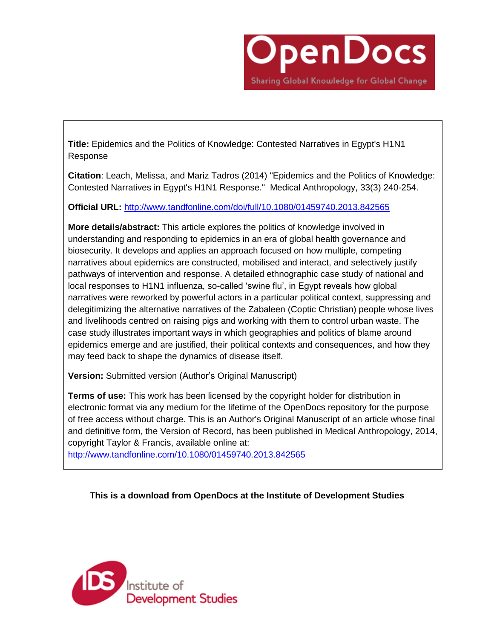

**Title:** Epidemics and the Politics of Knowledge: Contested Narratives in Egypt's H1N1 Response

**Citation**: Leach, Melissa, and Mariz Tadros (2014) "Epidemics and the Politics of Knowledge: Contested Narratives in Egypt's H1N1 Response." Medical Anthropology, 33(3) 240-254.

**Official URL:** <http://www.tandfonline.com/doi/full/10.1080/01459740.2013.842565>

**More details/abstract:** This article explores the politics of knowledge involved in understanding and responding to epidemics in an era of global health governance and biosecurity. It develops and applies an approach focused on how multiple, competing narratives about epidemics are constructed, mobilised and interact, and selectively justify pathways of intervention and response. A detailed ethnographic case study of national and local responses to H1N1 influenza, so-called 'swine flu', in Egypt reveals how global narratives were reworked by powerful actors in a particular political context, suppressing and delegitimizing the alternative narratives of the Zabaleen (Coptic Christian) people whose lives and livelihoods centred on raising pigs and working with them to control urban waste. The case study illustrates important ways in which geographies and politics of blame around epidemics emerge and are justified, their political contexts and consequences, and how they may feed back to shape the dynamics of disease itself.

**Version:** Submitted version (Author's Original Manuscript)

**Terms of use:** This work has been licensed by the copyright holder for distribution in electronic format via any medium for the lifetime of the OpenDocs repository for the purpose of free access without charge. This is an Author's Original Manuscript of an article whose final and definitive form, the Version of Record, has been published in Medical Anthropology, 2014, copyright Taylor & Francis, available online at:

<http://www.tandfonline.com/10.1080/01459740.2013.842565>

## **This is a download from OpenDocs at the Institute of Development Studies**

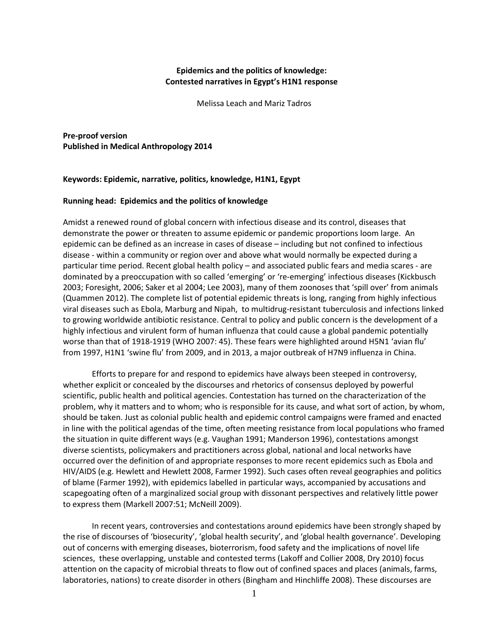## **Epidemics and the politics of knowledge: Contested narratives in Egypt's H1N1 response**

Melissa Leach and Mariz Tadros

**Pre-proof version Published in Medical Anthropology 2014**

## **Keywords: Epidemic, narrative, politics, knowledge, H1N1, Egypt**

## **Running head: Epidemics and the politics of knowledge**

Amidst a renewed round of global concern with infectious disease and its control, diseases that demonstrate the power or threaten to assume epidemic or pandemic proportions loom large. An epidemic can be defined as an increase in cases of disease – including but not confined to infectious disease - within a community or region over and above what would normally be expected during a particular time period. Recent global health policy – and associated public fears and media scares - are dominated by a preoccupation with so called 'emerging' or 're-emerging' infectious diseases (Kickbusch 2003; Foresight, 2006; Saker et al 2004; Lee 2003), many of them zoonoses that 'spill over' from animals (Quammen 2012). The complete list of potential epidemic threats is long, ranging from highly infectious viral diseases such as Ebola, Marburg and Nipah, to multidrug-resistant tuberculosis and infections linked to growing worldwide antibiotic resistance. Central to policy and public concern is the development of a highly infectious and virulent form of human influenza that could cause a global pandemic potentially worse than that of 1918-1919 (WHO 2007: 45). These fears were highlighted around H5N1 'avian flu' from 1997, H1N1 'swine flu' from 2009, and in 2013, a major outbreak of H7N9 influenza in China.

Efforts to prepare for and respond to epidemics have always been steeped in controversy, whether explicit or concealed by the discourses and rhetorics of consensus deployed by powerful scientific, public health and political agencies. Contestation has turned on the characterization of the problem, why it matters and to whom; who is responsible for its cause, and what sort of action, by whom, should be taken. Just as colonial public health and epidemic control campaigns were framed and enacted in line with the political agendas of the time, often meeting resistance from local populations who framed the situation in quite different ways (e.g. Vaughan 1991; Manderson 1996), contestations amongst diverse scientists, policymakers and practitioners across global, national and local networks have occurred over the definition of and appropriate responses to more recent epidemics such as Ebola and HIV/AIDS (e.g. Hewlett and Hewlett 2008, Farmer 1992). Such cases often reveal geographies and politics of blame (Farmer 1992), with epidemics labelled in particular ways, accompanied by accusations and scapegoating often of a marginalized social group with dissonant perspectives and relatively little power to express them (Markell 2007:51; McNeill 2009).

In recent years, controversies and contestations around epidemics have been strongly shaped by the rise of discourses of 'biosecurity', 'global health security', and 'global health governance'. Developing out of concerns with emerging diseases, bioterrorism, food safety and the implications of novel life sciences, these overlapping, unstable and contested terms (Lakoff and Collier 2008, Dry 2010) focus attention on the capacity of microbial threats to flow out of confined spaces and places (animals, farms, laboratories, nations) to create disorder in others (Bingham and Hinchliffe 2008). These discourses are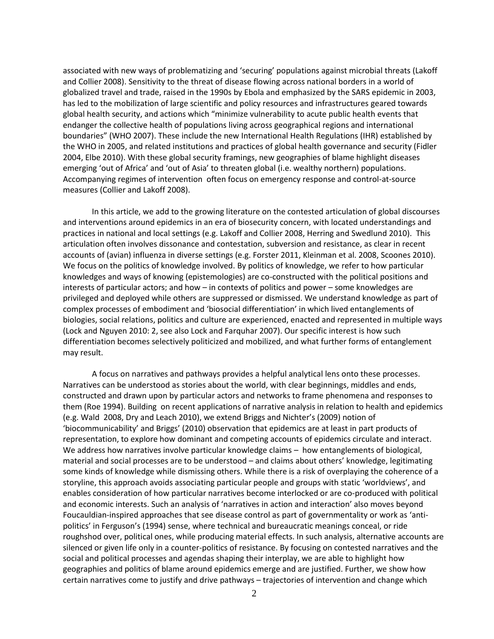associated with new ways of problematizing and 'securing' populations against microbial threats (Lakoff and Collier 2008). Sensitivity to the threat of disease flowing across national borders in a world of globalized travel and trade, raised in the 1990s by Ebola and emphasized by the SARS epidemic in 2003, has led to the mobilization of large scientific and policy resources and infrastructures geared towards global health security, and actions which "minimize vulnerability to acute public health events that endanger the collective health of populations living across geographical regions and international boundaries" (WHO 2007). These include the new International Health Regulations (IHR) established by the WHO in 2005, and related institutions and practices of global health governance and security (Fidler 2004, Elbe 2010). With these global security framings, new geographies of blame highlight diseases emerging 'out of Africa' and 'out of Asia' to threaten global (i.e. wealthy northern) populations. Accompanying regimes of intervention often focus on emergency response and control-at-source measures (Collier and Lakoff 2008).

In this article, we add to the growing literature on the contested articulation of global discourses and interventions around epidemics in an era of biosecurity concern, with located understandings and practices in national and local settings (e.g. Lakoff and Collier 2008, Herring and Swedlund 2010). This articulation often involves dissonance and contestation, subversion and resistance, as clear in recent accounts of (avian) influenza in diverse settings (e.g. Forster 2011, Kleinman et al. 2008, Scoones 2010). We focus on the politics of knowledge involved. By politics of knowledge, we refer to how particular knowledges and ways of knowing (epistemologies) are co-constructed with the political positions and interests of particular actors; and how – in contexts of politics and power – some knowledges are privileged and deployed while others are suppressed or dismissed. We understand knowledge as part of complex processes of embodiment and 'biosocial differentiation' in which lived entanglements of biologies, social relations, politics and culture are experienced, enacted and represented in multiple ways (Lock and Nguyen 2010: 2, see also Lock and Farquhar 2007). Our specific interest is how such differentiation becomes selectively politicized and mobilized, and what further forms of entanglement may result.

A focus on narratives and pathways provides a helpful analytical lens onto these processes. Narratives can be understood as stories about the world, with clear beginnings, middles and ends, constructed and drawn upon by particular actors and networks to frame phenomena and responses to them (Roe 1994). Building on recent applications of narrative analysis in relation to health and epidemics (e.g. Wald 2008, Dry and Leach 2010), we extend Briggs and Nichter's (2009) notion of 'biocommunicability' and Briggs' (2010) observation that epidemics are at least in part products of representation, to explore how dominant and competing accounts of epidemics circulate and interact. We address how narratives involve particular knowledge claims – how entanglements of biological, material and social processes are to be understood – and claims about others' knowledge, legitimating some kinds of knowledge while dismissing others. While there is a risk of overplaying the coherence of a storyline, this approach avoids associating particular people and groups with static 'worldviews', and enables consideration of how particular narratives become interlocked or are co-produced with political and economic interests. Such an analysis of 'narratives in action and interaction' also moves beyond Foucauldian-inspired approaches that see disease control as part of governmentality or work as 'antipolitics' in Ferguson's (1994) sense, where technical and bureaucratic meanings conceal, or ride roughshod over, political ones, while producing material effects. In such analysis, alternative accounts are silenced or given life only in a counter-politics of resistance. By focusing on contested narratives and the social and political processes and agendas shaping their interplay, we are able to highlight how geographies and politics of blame around epidemics emerge and are justified. Further, we show how certain narratives come to justify and drive pathways – trajectories of intervention and change which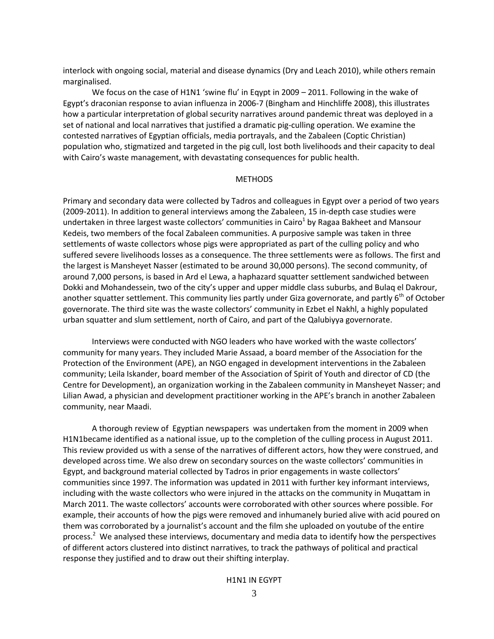interlock with ongoing social, material and disease dynamics (Dry and Leach 2010), while others remain marginalised.

We focus on the case of H1N1 'swine flu' in Eqypt in 2009 – 2011. Following in the wake of Egypt's draconian response to avian influenza in 2006-7 (Bingham and Hinchliffe 2008), this illustrates how a particular interpretation of global security narratives around pandemic threat was deployed in a set of national and local narratives that justified a dramatic pig-culling operation. We examine the contested narratives of Egyptian officials, media portrayals, and the Zabaleen (Coptic Christian) population who, stigmatized and targeted in the pig cull, lost both livelihoods and their capacity to deal with Cairo's waste management, with devastating consequences for public health.

## METHODS

Primary and secondary data were collected by Tadros and colleagues in Egypt over a period of two years (2009-2011). In addition to general interviews among the Zabaleen, 15 in-depth case studies were undertaken in three largest waste collectors' communities in Cairo<sup>1</sup> by Ragaa Bakheet and Mansour Kedeis, two members of the focal Zabaleen communities. A purposive sample was taken in three settlements of waste collectors whose pigs were appropriated as part of the culling policy and who suffered severe livelihoods losses as a consequence. The three settlements were as follows. The first and the largest is Mansheyet Nasser (estimated to be around 30,000 persons). The second community, of around 7,000 persons, is based in Ard el Lewa, a haphazard squatter settlement sandwiched between Dokki and Mohandessein, two of the city's upper and upper middle class suburbs, and Bulaq el Dakrour, another squatter settlement. This community lies partly under Giza governorate, and partly 6<sup>th</sup> of October governorate. The third site was the waste collectors' community in Ezbet el Nakhl, a highly populated urban squatter and slum settlement, north of Cairo, and part of the Qalubiyya governorate.

Interviews were conducted with NGO leaders who have worked with the waste collectors' community for many years. They included Marie Assaad, a board member of the Association for the Protection of the Environment (APE), an NGO engaged in development interventions in the Zabaleen community; Leila Iskander, board member of the Association of Spirit of Youth and director of CD (the Centre for Development), an organization working in the Zabaleen community in Mansheyet Nasser; and Lilian Awad, a physician and development practitioner working in the APE's branch in another Zabaleen community, near Maadi.

A thorough review of Egyptian newspapers was undertaken from the moment in 2009 when H1N1became identified as a national issue, up to the completion of the culling process in August 2011. This review provided us with a sense of the narratives of different actors, how they were construed, and developed across time. We also drew on secondary sources on the waste collectors' communities in Egypt, and background material collected by Tadros in prior engagements in waste collectors' communities since 1997. The information was updated in 2011 with further key informant interviews, including with the waste collectors who were injured in the attacks on the community in Muqattam in March 2011. The waste collectors' accounts were corroborated with other sources where possible. For example, their accounts of how the pigs were removed and inhumanely buried alive with acid poured on them was corroborated by a journalist's account and the film she uploaded on youtube of the entire process.<sup>2</sup> We analysed these interviews, documentary and media data to identify how the perspectives of different actors clustered into distinct narratives, to track the pathways of political and practical response they justified and to draw out their shifting interplay.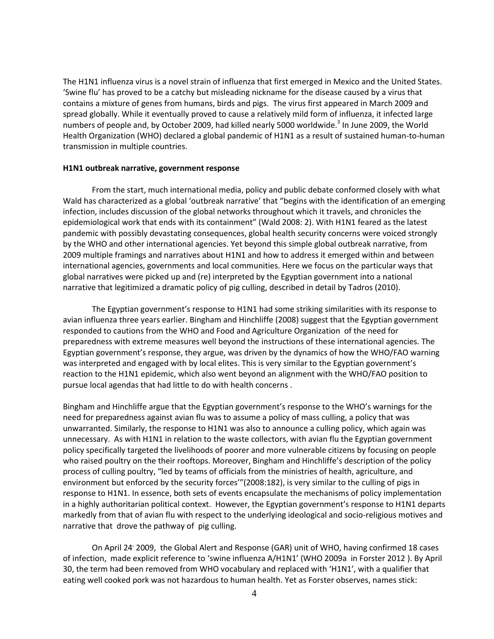The H1N1 influenza virus is a novel strain of influenza that first emerged in Mexico and the United States. 'Swine flu' has proved to be a catchy but misleading nickname for the disease caused by a virus that contains a mixture of genes from humans, birds and pigs. The virus first appeared in March 2009 and spread globally. While it eventually proved to cause a relatively mild form of influenza, it infected large numbers of people and, by October 2009, had killed nearly 5000 worldwide.<sup>3</sup> In June 2009, the World Health Organization (WHO) declared a global pandemic of H1N1 as a result of sustained human-to-human transmission in multiple countries.

## **H1N1 outbreak narrative, government response**

From the start, much international media, policy and public debate conformed closely with what Wald has characterized as a global 'outbreak narrative' that "begins with the identification of an emerging infection, includes discussion of the global networks throughout which it travels, and chronicles the epidemiological work that ends with its containment" (Wald 2008: 2). With H1N1 feared as the latest pandemic with possibly devastating consequences, global health security concerns were voiced strongly by the WHO and other international agencies. Yet beyond this simple global outbreak narrative, from 2009 multiple framings and narratives about H1N1 and how to address it emerged within and between international agencies, governments and local communities. Here we focus on the particular ways that global narratives were picked up and (re) interpreted by the Egyptian government into a national narrative that legitimized a dramatic policy of pig culling, described in detail by Tadros (2010).

The Egyptian government's response to H1N1 had some striking similarities with its response to avian influenza three years earlier. Bingham and Hinchliffe (2008) suggest that the Egyptian government responded to cautions from the WHO and Food and Agriculture Organization of the need for preparedness with extreme measures well beyond the instructions of these international agencies. The Egyptian government's response, they argue, was driven by the dynamics of how the WHO/FAO warning was interpreted and engaged with by local elites. This is very similar to the Egyptian government's reaction to the H1N1 epidemic, which also went beyond an alignment with the WHO/FAO position to pursue local agendas that had little to do with health concerns .

Bingham and Hinchliffe argue that the Egyptian government's response to the WHO's warnings for the need for preparedness against avian flu was to assume a policy of mass culling, a policy that was unwarranted. Similarly, the response to H1N1 was also to announce a culling policy, which again was unnecessary. As with H1N1 in relation to the waste collectors, with avian flu the Egyptian government policy specifically targeted the livelihoods of poorer and more vulnerable citizens by focusing on people who raised poultry on the their rooftops. Moreover, Bingham and Hinchliffe's description of the policy process of culling poultry, "led by teams of officials from the ministries of health, agriculture, and environment but enforced by the security forces'"(2008:182), is very similar to the culling of pigs in response to H1N1. In essence, both sets of events encapsulate the mechanisms of policy implementation in a highly authoritarian political context. However, the Egyptian government's response to H1N1 departs markedly from that of avian flu with respect to the underlying ideological and socio-religious motives and narrative that drove the pathway of pig culling.

On April 24<sup>,</sup> 2009, the Global Alert and Response (GAR) unit of WHO, having confirmed 18 cases of infection, made explicit reference to 'swine influenza A/H1N1' (WHO 2009a in Forster 2012 ). By April 30, the term had been removed from WHO vocabulary and replaced with 'H1N1', with a qualifier that eating well cooked pork was not hazardous to human health. Yet as Forster observes, names stick: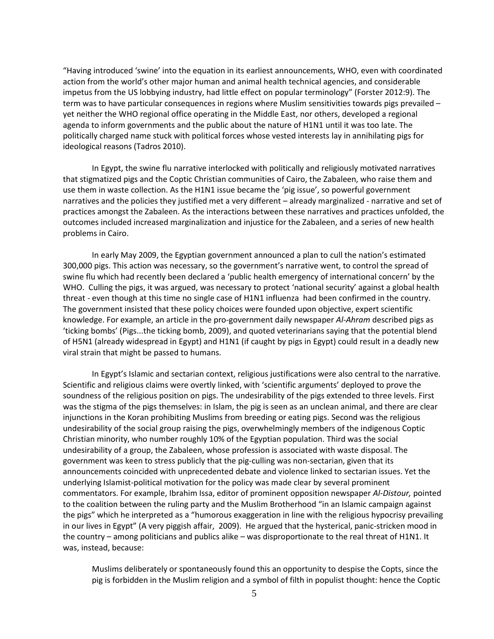"Having introduced 'swine' into the equation in its earliest announcements, WHO, even with coordinated action from the world's other major human and animal health technical agencies, and considerable impetus from the US lobbying industry, had little effect on popular terminology" (Forster 2012:9). The term was to have particular consequences in regions where Muslim sensitivities towards pigs prevailed – yet neither the WHO regional office operating in the Middle East, nor others, developed a regional agenda to inform governments and the public about the nature of H1N1 until it was too late. The politically charged name stuck with political forces whose vested interests lay in annihilating pigs for ideological reasons (Tadros 2010).

In Egypt, the swine flu narrative interlocked with politically and religiously motivated narratives that stigmatized pigs and the Coptic Christian communities of Cairo, the Zabaleen, who raise them and use them in waste collection. As the H1N1 issue became the 'pig issue', so powerful government narratives and the policies they justified met a very different – already marginalized - narrative and set of practices amongst the Zabaleen. As the interactions between these narratives and practices unfolded, the outcomes included increased marginalization and injustice for the Zabaleen, and a series of new health problems in Cairo.

In early May 2009, the Egyptian government announced a plan to cull the nation's estimated 300,000 pigs. This action was necessary, so the government's narrative went, to control the spread of swine flu which had recently been declared a 'public health emergency of international concern' by the WHO. Culling the pigs, it was argued, was necessary to protect 'national security' against a global health threat - even though at this time no single case of H1N1 influenza had been confirmed in the country. The government insisted that these policy choices were founded upon objective, expert scientific knowledge. For example, an article in the pro-government daily newspaper *Al-Ahram* described pigs as 'ticking bombs' (Pigs...the ticking bomb, 2009), and quoted veterinarians saying that the potential blend of H5N1 (already widespread in Egypt) and H1N1 (if caught by pigs in Egypt) could result in a deadly new viral strain that might be passed to humans.

In Egypt's Islamic and sectarian context, religious justifications were also central to the narrative. Scientific and religious claims were overtly linked, with 'scientific arguments' deployed to prove the soundness of the religious position on pigs. The undesirability of the pigs extended to three levels. First was the stigma of the pigs themselves: in Islam, the pig is seen as an unclean animal, and there are clear injunctions in the Koran prohibiting Muslims from breeding or eating pigs. Second was the religious undesirability of the social group raising the pigs, overwhelmingly members of the indigenous Coptic Christian minority, who number roughly 10% of the Egyptian population. Third was the social undesirability of a group, the Zabaleen, whose profession is associated with waste disposal. The government was keen to stress publicly that the pig-culling was non-sectarian, given that its announcements coincided with unprecedented debate and violence linked to sectarian issues. Yet the underlying Islamist-political motivation for the policy was made clear by several prominent commentators. For example, Ibrahim Issa, editor of prominent opposition newspaper *Al-Distour,* pointed to the coalition between the ruling party and the Muslim Brotherhood "in an Islamic campaign against the pigs" which he interpreted as a "humorous exaggeration in line with the religious hypocrisy prevailing in our lives in Egypt" (A very piggish affair, 2009). He argued that the hysterical, panic-stricken mood in the country – among politicians and publics alike – was disproportionate to the real threat of H1N1. It was, instead, because:

Muslims deliberately or spontaneously found this an opportunity to despise the Copts, since the pig is forbidden in the Muslim religion and a symbol of filth in populist thought: hence the Coptic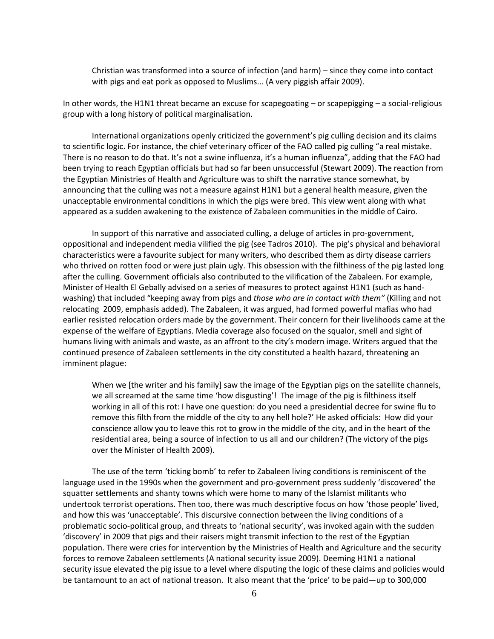Christian was transformed into a source of infection (and harm) – since they come into contact with pigs and eat pork as opposed to Muslims... (A very piggish affair 2009).

In other words, the H1N1 threat became an excuse for scapegoating – or scapepigging – a social-religious group with a long history of political marginalisation.

International organizations openly criticized the government's pig culling decision and its claims to scientific logic. For instance, the chief veterinary officer of the FAO called pig culling "a real mistake. There is no reason to do that. It's not a swine influenza, it's a human influenza", adding that the FAO had been trying to reach Egyptian officials but had so far been unsuccessful (Stewart 2009). The reaction from the Egyptian Ministries of Health and Agriculture was to shift the narrative stance somewhat, by announcing that the culling was not a measure against H1N1 but a general health measure, given the unacceptable environmental conditions in which the pigs were bred. This view went along with what appeared as a sudden awakening to the existence of Zabaleen communities in the middle of Cairo.

In support of this narrative and associated culling, a deluge of articles in pro-government, oppositional and independent media vilified the pig (see Tadros 2010). The pig's physical and behavioral characteristics were a favourite subject for many writers, who described them as dirty disease carriers who thrived on rotten food or were just plain ugly. This obsession with the filthiness of the pig lasted long after the culling. Government officials also contributed to the vilification of the Zabaleen. For example, Minister of Health El Gebally advised on a series of measures to protect against H1N1 (such as handwashing) that included "keeping away from pigs and *those who are in contact with them"* (Killing and not relocating 2009, emphasis added). The Zabaleen, it was argued, had formed powerful mafias who had earlier resisted relocation orders made by the government. Their concern for their livelihoods came at the expense of the welfare of Egyptians. Media coverage also focused on the squalor, smell and sight of humans living with animals and waste, as an affront to the city's modern image. Writers argued that the continued presence of Zabaleen settlements in the city constituted a health hazard, threatening an imminent plague:

When we [the writer and his family] saw the image of the Egyptian pigs on the satellite channels, we all screamed at the same time 'how disgusting'! The image of the pig is filthiness itself working in all of this rot: I have one question: do you need a presidential decree for swine flu to remove this filth from the middle of the city to any hell hole?' He asked officials: How did your conscience allow you to leave this rot to grow in the middle of the city, and in the heart of the residential area, being a source of infection to us all and our children? (The victory of the pigs over the Minister of Health 2009).

The use of the term 'ticking bomb' to refer to Zabaleen living conditions is reminiscent of the language used in the 1990s when the government and pro-government press suddenly 'discovered' the squatter settlements and shanty towns which were home to many of the Islamist militants who undertook terrorist operations. Then too, there was much descriptive focus on how 'those people' lived, and how this was 'unacceptable'. This discursive connection between the living conditions of a problematic socio-political group, and threats to 'national security', was invoked again with the sudden 'discovery' in 2009 that pigs and their raisers might transmit infection to the rest of the Egyptian population. There were cries for intervention by the Ministries of Health and Agriculture and the security forces to remove Zabaleen settlements (A national security issue 2009). Deeming H1N1 a national security issue elevated the pig issue to a level where disputing the logic of these claims and policies would be tantamount to an act of national treason. It also meant that the 'price' to be paid—up to 300,000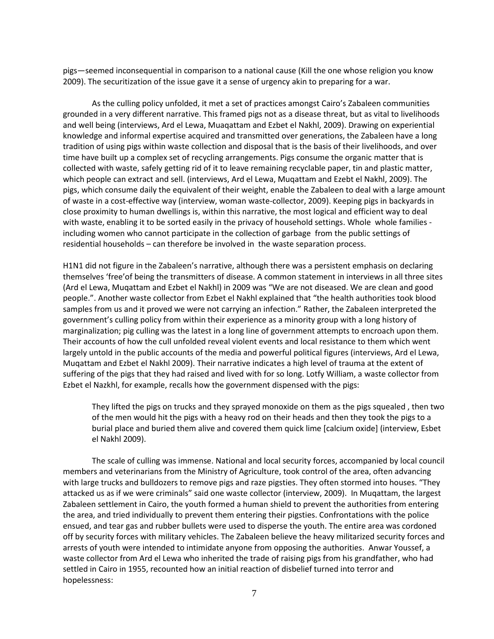pigs—seemed inconsequential in comparison to a national cause (Kill the one whose religion you know 2009). The securitization of the issue gave it a sense of urgency akin to preparing for a war.

As the culling policy unfolded, it met a set of practices amongst Cairo's Zabaleen communities grounded in a very different narrative. This framed pigs not as a disease threat, but as vital to livelihoods and well being (interviews, Ard el Lewa, Muaqattam and Ezbet el Nakhl, 2009). Drawing on experiential knowledge and informal expertise acquired and transmitted over generations, the Zabaleen have a long tradition of using pigs within waste collection and disposal that is the basis of their livelihoods, and over time have built up a complex set of recycling arrangements. Pigs consume the organic matter that is collected with waste, safely getting rid of it to leave remaining recyclable paper, tin and plastic matter, which people can extract and sell. (interviews, Ard el Lewa, Muqattam and Ezebt el Nakhl, 2009). The pigs, which consume daily the equivalent of their weight, enable the Zabaleen to deal with a large amount of waste in a cost-effective way (interview, woman waste-collector, 2009). Keeping pigs in backyards in close proximity to human dwellings is, within this narrative, the most logical and efficient way to deal with waste, enabling it to be sorted easily in the privacy of household settings. Whole whole families including women who cannot participate in the collection of garbage from the public settings of residential households – can therefore be involved in the waste separation process.

H1N1 did not figure in the Zabaleen's narrative, although there was a persistent emphasis on declaring themselves 'free'of being the transmitters of disease. A common statement in interviews in all three sites (Ard el Lewa, Muqattam and Ezbet el Nakhl) in 2009 was "We are not diseased. We are clean and good people.". Another waste collector from Ezbet el Nakhl explained that "the health authorities took blood samples from us and it proved we were not carrying an infection." Rather, the Zabaleen interpreted the government's culling policy from within their experience as a minority group with a long history of marginalization; pig culling was the latest in a long line of government attempts to encroach upon them. Their accounts of how the cull unfolded reveal violent events and local resistance to them which went largely untold in the public accounts of the media and powerful political figures (interviews, Ard el Lewa, Muqattam and Ezbet el Nakhl 2009). Their narrative indicates a high level of trauma at the extent of suffering of the pigs that they had raised and lived with for so long. Lotfy William, a waste collector from Ezbet el Nazkhl, for example, recalls how the government dispensed with the pigs:

They lifted the pigs on trucks and they sprayed monoxide on them as the pigs squealed , then two of the men would hit the pigs with a heavy rod on their heads and then they took the pigs to a burial place and buried them alive and covered them quick lime [calcium oxide] (interview, Esbet el Nakhl 2009).

The scale of culling was immense. National and local security forces, accompanied by local council members and veterinarians from the Ministry of Agriculture, took control of the area, often advancing with large trucks and bulldozers to remove pigs and raze pigsties. They often stormed into houses. "They attacked us as if we were criminals" said one waste collector (interview, 2009). In Muqattam, the largest Zabaleen settlement in Cairo, the youth formed a human shield to prevent the authorities from entering the area, and tried individually to prevent them entering their pigsties. Confrontations with the police ensued, and tear gas and rubber bullets were used to disperse the youth. The entire area was cordoned off by security forces with military vehicles. The Zabaleen believe the heavy militarized security forces and arrests of youth were intended to intimidate anyone from opposing the authorities. Anwar Youssef, a waste collector from Ard el Lewa who inherited the trade of raising pigs from his grandfather, who had settled in Cairo in 1955, recounted how an initial reaction of disbelief turned into terror and hopelessness: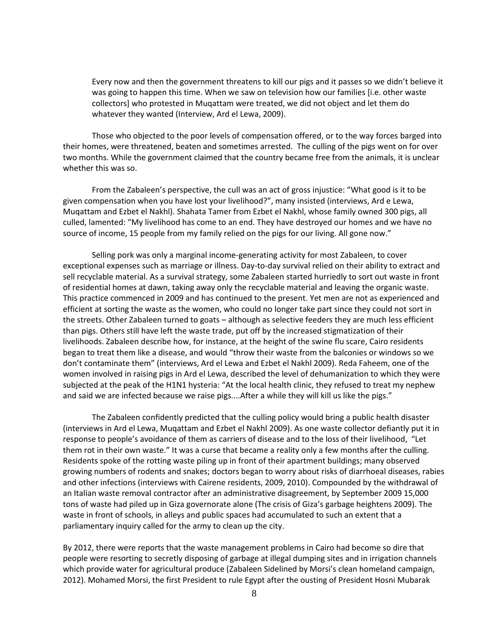Every now and then the government threatens to kill our pigs and it passes so we didn't believe it was going to happen this time. When we saw on television how our families [i.e. other waste collectors] who protested in Muqattam were treated, we did not object and let them do whatever they wanted (Interview, Ard el Lewa, 2009).

Those who objected to the poor levels of compensation offered, or to the way forces barged into their homes, were threatened, beaten and sometimes arrested. The culling of the pigs went on for over two months. While the government claimed that the country became free from the animals, it is unclear whether this was so.

From the Zabaleen's perspective, the cull was an act of gross injustice: "What good is it to be given compensation when you have lost your livelihood?", many insisted (interviews, Ard e Lewa, Muqattam and Ezbet el Nakhl). Shahata Tamer from Ezbet el Nakhl, whose family owned 300 pigs, all culled, lamented: "My livelihood has come to an end. They have destroyed our homes and we have no source of income, 15 people from my family relied on the pigs for our living. All gone now."

Selling pork was only a marginal income-generating activity for most Zabaleen, to cover exceptional expenses such as marriage or illness. Day-to-day survival relied on their ability to extract and sell recyclable material. As a survival strategy, some Zabaleen started hurriedly to sort out waste in front of residential homes at dawn, taking away only the recyclable material and leaving the organic waste. This practice commenced in 2009 and has continued to the present. Yet men are not as experienced and efficient at sorting the waste as the women, who could no longer take part since they could not sort in the streets. Other Zabaleen turned to goats – although as selective feeders they are much less efficient than pigs. Others still have left the waste trade, put off by the increased stigmatization of their livelihoods. Zabaleen describe how, for instance, at the height of the swine flu scare, Cairo residents began to treat them like a disease, and would "throw their waste from the balconies or windows so we don't contaminate them" (interviews, Ard el Lewa and Ezbet el Nakhl 2009). Reda Faheem, one of the women involved in raising pigs in Ard el Lewa, described the level of dehumanization to which they were subjected at the peak of the H1N1 hysteria: "At the local health clinic, they refused to treat my nephew and said we are infected because we raise pigs....After a while they will kill us like the pigs."

The Zabaleen confidently predicted that the culling policy would bring a public health disaster (interviews in Ard el Lewa, Muqattam and Ezbet el Nakhl 2009). As one waste collector defiantly put it in response to people's avoidance of them as carriers of disease and to the loss of their livelihood, "Let them rot in their own waste." It was a curse that became a reality only a few months after the culling. Residents spoke of the rotting waste piling up in front of their apartment buildings; many observed growing numbers of rodents and snakes; doctors began to worry about risks of diarrhoeal diseases, rabies and other infections (interviews with Cairene residents, 2009, 2010). Compounded by the withdrawal of an Italian waste removal contractor after an administrative disagreement, by September 2009 15,000 tons of waste had piled up in Giza governorate alone (The crisis of Giza's garbage heightens 2009). The waste in front of schools, in alleys and public spaces had accumulated to such an extent that a parliamentary inquiry called for the army to clean up the city.

By 2012, there were reports that the waste management problems in Cairo had become so dire that people were resorting to secretly disposing of garbage at illegal dumping sites and in irrigation channels which provide water for agricultural produce (Zabaleen Sidelined by Morsi's clean homeland campaign, 2012). Mohamed Morsi, the first President to rule Egypt after the ousting of President Hosni Mubarak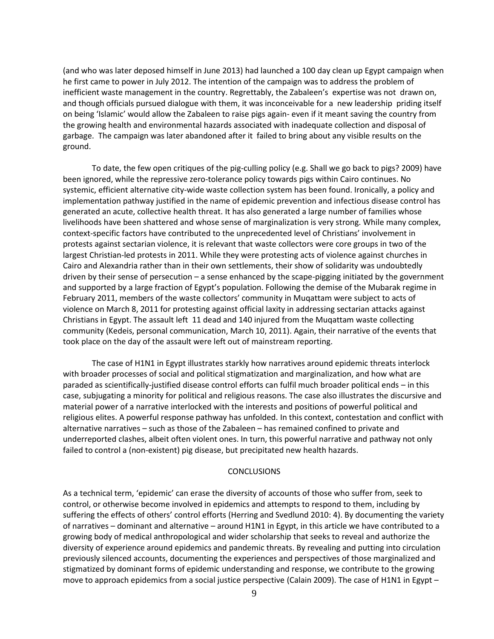(and who was later deposed himself in June 2013) had launched a 100 day clean up Egypt campaign when he first came to power in July 2012. The intention of the campaign was to address the problem of inefficient waste management in the country. Regrettably, the Zabaleen's expertise was not drawn on, and though officials pursued dialogue with them, it was inconceivable for a new leadership priding itself on being 'Islamic' would allow the Zabaleen to raise pigs again- even if it meant saving the country from the growing health and environmental hazards associated with inadequate collection and disposal of garbage. The campaign was later abandoned after it failed to bring about any visible results on the ground.

To date, the few open critiques of the pig-culling policy (e.g. Shall we go back to pigs? 2009) have been ignored, while the repressive zero-tolerance policy towards pigs within Cairo continues. No systemic, efficient alternative city-wide waste collection system has been found. Ironically, a policy and implementation pathway justified in the name of epidemic prevention and infectious disease control has generated an acute, collective health threat. It has also generated a large number of families whose livelihoods have been shattered and whose sense of marginalization is very strong. While many complex, context-specific factors have contributed to the unprecedented level of Christians' involvement in protests against sectarian violence, it is relevant that waste collectors were core groups in two of the largest Christian-led protests in 2011. While they were protesting acts of violence against churches in Cairo and Alexandria rather than in their own settlements, their show of solidarity was undoubtedly driven by their sense of persecution – a sense enhanced by the scape-pigging initiated by the government and supported by a large fraction of Egypt's population. Following the demise of the Mubarak regime in February 2011, members of the waste collectors' community in Muqattam were subject to acts of violence on March 8, 2011 for protesting against official laxity in addressing sectarian attacks against Christians in Egypt. The assault left 11 dead and 140 injured from the Muqattam waste collecting community (Kedeis, personal communication, March 10, 2011). Again, their narrative of the events that took place on the day of the assault were left out of mainstream reporting.

The case of H1N1 in Egypt illustrates starkly how narratives around epidemic threats interlock with broader processes of social and political stigmatization and marginalization, and how what are paraded as scientifically-justified disease control efforts can fulfil much broader political ends – in this case, subjugating a minority for political and religious reasons. The case also illustrates the discursive and material power of a narrative interlocked with the interests and positions of powerful political and religious elites. A powerful response pathway has unfolded. In this context, contestation and conflict with alternative narratives – such as those of the Zabaleen – has remained confined to private and underreported clashes, albeit often violent ones. In turn, this powerful narrative and pathway not only failed to control a (non-existent) pig disease, but precipitated new health hazards.

#### **CONCLUSIONS**

As a technical term, 'epidemic' can erase the diversity of accounts of those who suffer from, seek to control, or otherwise become involved in epidemics and attempts to respond to them, including by suffering the effects of others' control efforts (Herring and Svedlund 2010: 4). By documenting the variety of narratives – dominant and alternative – around H1N1 in Egypt, in this article we have contributed to a growing body of medical anthropological and wider scholarship that seeks to reveal and authorize the diversity of experience around epidemics and pandemic threats. By revealing and putting into circulation previously silenced accounts, documenting the experiences and perspectives of those marginalized and stigmatized by dominant forms of epidemic understanding and response, we contribute to the growing move to approach epidemics from a social justice perspective (Calain 2009). The case of H1N1 in Egypt –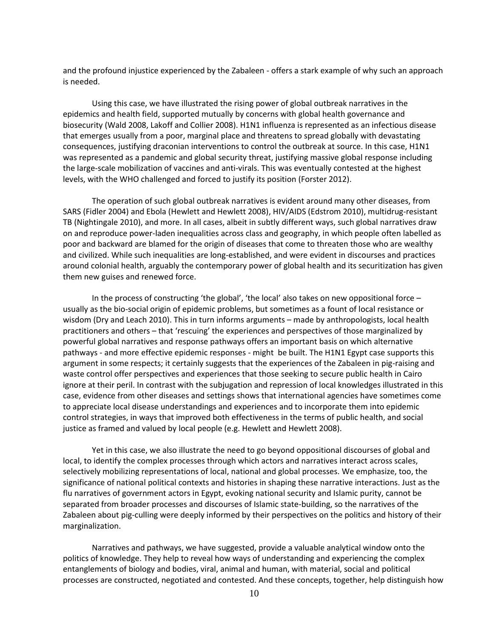and the profound injustice experienced by the Zabaleen - offers a stark example of why such an approach is needed.

Using this case, we have illustrated the rising power of global outbreak narratives in the epidemics and health field, supported mutually by concerns with global health governance and biosecurity (Wald 2008, Lakoff and Collier 2008). H1N1 influenza is represented as an infectious disease that emerges usually from a poor, marginal place and threatens to spread globally with devastating consequences, justifying draconian interventions to control the outbreak at source. In this case, H1N1 was represented as a pandemic and global security threat, justifying massive global response including the large-scale mobilization of vaccines and anti-virals. This was eventually contested at the highest levels, with the WHO challenged and forced to justify its position (Forster 2012).

The operation of such global outbreak narratives is evident around many other diseases, from SARS (Fidler 2004) and Ebola (Hewlett and Hewlett 2008), HIV/AIDS (Edstrom 2010), multidrug-resistant TB (Nightingale 2010), and more. In all cases, albeit in subtly different ways, such global narratives draw on and reproduce power-laden inequalities across class and geography, in which people often labelled as poor and backward are blamed for the origin of diseases that come to threaten those who are wealthy and civilized. While such inequalities are long-established, and were evident in discourses and practices around colonial health, arguably the contemporary power of global health and its securitization has given them new guises and renewed force.

In the process of constructing 'the global', 'the local' also takes on new oppositional force – usually as the bio-social origin of epidemic problems, but sometimes as a fount of local resistance or wisdom (Dry and Leach 2010). This in turn informs arguments – made by anthropologists, local health practitioners and others – that 'rescuing' the experiences and perspectives of those marginalized by powerful global narratives and response pathways offers an important basis on which alternative pathways - and more effective epidemic responses - might be built. The H1N1 Egypt case supports this argument in some respects; it certainly suggests that the experiences of the Zabaleen in pig-raising and waste control offer perspectives and experiences that those seeking to secure public health in Cairo ignore at their peril. In contrast with the subjugation and repression of local knowledges illustrated in this case, evidence from other diseases and settings shows that international agencies have sometimes come to appreciate local disease understandings and experiences and to incorporate them into epidemic control strategies, in ways that improved both effectiveness in the terms of public health, and social justice as framed and valued by local people (e.g. Hewlett and Hewlett 2008).

Yet in this case, we also illustrate the need to go beyond oppositional discourses of global and local, to identify the complex processes through which actors and narratives interact across scales, selectively mobilizing representations of local, national and global processes. We emphasize, too, the significance of national political contexts and histories in shaping these narrative interactions. Just as the flu narratives of government actors in Egypt, evoking national security and Islamic purity, cannot be separated from broader processes and discourses of Islamic state-building, so the narratives of the Zabaleen about pig-culling were deeply informed by their perspectives on the politics and history of their marginalization.

Narratives and pathways, we have suggested, provide a valuable analytical window onto the politics of knowledge. They help to reveal how ways of understanding and experiencing the complex entanglements of biology and bodies, viral, animal and human, with material, social and political processes are constructed, negotiated and contested. And these concepts, together, help distinguish how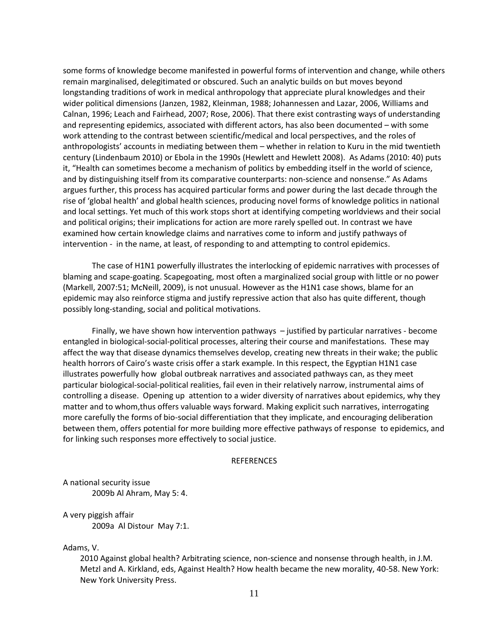some forms of knowledge become manifested in powerful forms of intervention and change, while others remain marginalised, delegitimated or obscured. Such an analytic builds on but moves beyond longstanding traditions of work in medical anthropology that appreciate plural knowledges and their wider political dimensions (Janzen, 1982, Kleinman, 1988; Johannessen and Lazar, 2006, Williams and Calnan, 1996; Leach and Fairhead, 2007; Rose, 2006). That there exist contrasting ways of understanding and representing epidemics, associated with different actors, has also been documented – with some work attending to the contrast between scientific/medical and local perspectives, and the roles of anthropologists' accounts in mediating between them – whether in relation to Kuru in the mid twentieth century (Lindenbaum 2010) or Ebola in the 1990s (Hewlett and Hewlett 2008). As Adams (2010: 40) puts it, "Health can sometimes become a mechanism of politics by embedding itself in the world of science, and by distinguishing itself from its comparative counterparts: non-science and nonsense." As Adams argues further, this process has acquired particular forms and power during the last decade through the rise of 'global health' and global health sciences, producing novel forms of knowledge politics in national and local settings. Yet much of this work stops short at identifying competing worldviews and their social and political origins; their implications for action are more rarely spelled out. In contrast we have examined how certain knowledge claims and narratives come to inform and justify pathways of intervention - in the name, at least, of responding to and attempting to control epidemics.

The case of H1N1 powerfully illustrates the interlocking of epidemic narratives with processes of blaming and scape-goating. Scapegoating, most often a marginalized social group with little or no power (Markell, 2007:51; McNeill, 2009), is not unusual. However as the H1N1 case shows, blame for an epidemic may also reinforce stigma and justify repressive action that also has quite different, though possibly long-standing, social and political motivations.

Finally, we have shown how intervention pathways – justified by particular narratives - become entangled in biological-social-political processes, altering their course and manifestations. These may affect the way that disease dynamics themselves develop, creating new threats in their wake; the public health horrors of Cairo's waste crisis offer a stark example. In this respect, the Egyptian H1N1 case illustrates powerfully how global outbreak narratives and associated pathways can, as they meet particular biological-social-political realities, fail even in their relatively narrow, instrumental aims of controlling a disease. Opening up attention to a wider diversity of narratives about epidemics, why they matter and to whom,thus offers valuable ways forward. Making explicit such narratives, interrogating more carefully the forms of bio-social differentiation that they implicate, and encouraging deliberation between them, offers potential for more building more effective pathways of response to epidemics, and for linking such responses more effectively to social justice.

#### **REFERENCES**

A national security issue 2009b Al Ahram, May 5: 4.

A very piggish affair 2009a Al Distour May 7:1.

Adams, V.

2010 Against global health? Arbitrating science, non-science and nonsense through health, in J.M. Metzl and A. Kirkland, eds, Against Health? How health became the new morality, 40-58. New York: New York University Press.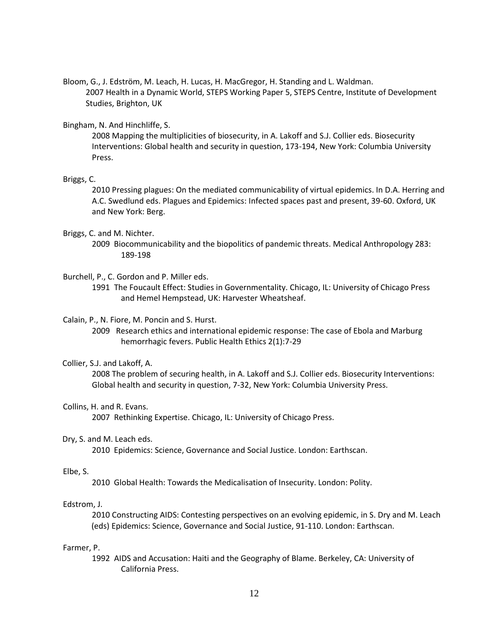Bloom, G., J. Edström, M. Leach, H. Lucas, H. MacGregor, H. Standing and L. Waldman. 2007 Health in a Dynamic World, STEPS Working Paper 5, STEPS Centre, Institute of Development Studies, Brighton, UK

#### Bingham, N. And Hinchliffe, S.

2008 Mapping the multiplicities of biosecurity, in A. Lakoff and S.J. Collier eds. Biosecurity Interventions: Global health and security in question, 173-194, New York: Columbia University Press.

#### Briggs, C.

2010 Pressing plagues: On the mediated communicability of virtual epidemics. In D.A. Herring and A.C. Swedlund eds. Plagues and Epidemics: Infected spaces past and present, 39-60. Oxford, UK and New York: Berg.

#### Briggs, C. and M. Nichter.

2009 Biocommunicability and the biopolitics of pandemic threats. Medical Anthropology 283: 189-198

#### Burchell, P., C. Gordon and P. Miller eds.

1991 The Foucault Effect: Studies in Governmentality. Chicago, IL: University of Chicago Press and Hemel Hempstead, UK: Harvester Wheatsheaf.

#### Calain, P., N. Fiore, M. Poncin and S. Hurst.

2009 Research ethics and international epidemic response: The case of Ebola and Marburg hemorrhagic fevers. Public Health Ethics 2(1):7-29

## Collier, S.J. and Lakoff, A.

2008 The problem of securing health, in A. Lakoff and S.J. Collier eds. Biosecurity Interventions: Global health and security in question, 7-32, New York: Columbia University Press.

#### Collins, H. and R. Evans.

2007 Rethinking Expertise. Chicago, IL: University of Chicago Press.

#### Dry, S. and M. Leach eds.

2010 Epidemics: Science, Governance and Social Justice. London: Earthscan.

## Elbe, S.

2010 Global Health: Towards the Medicalisation of Insecurity. London: Polity.

## Edstrom, J.

2010 Constructing AIDS: Contesting perspectives on an evolving epidemic, in S. Dry and M. Leach (eds) Epidemics: Science, Governance and Social Justice, 91-110. London: Earthscan.

## Farmer, P.

1992 AIDS and Accusation: Haiti and the Geography of Blame. Berkeley, CA: University of California Press.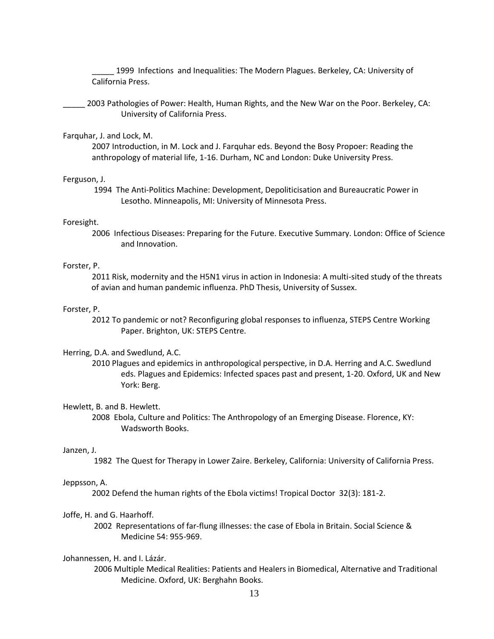1999 Infections and Inequalities: The Modern Plagues. Berkeley, CA: University of California Press.

\_\_\_\_\_ 2003 Pathologies of Power: Health, Human Rights, and the New War on the Poor. Berkeley, CA: University of California Press.

#### Farquhar, J. and Lock, M.

2007 Introduction, in M. Lock and J. Farquhar eds. Beyond the Bosy Propoer: Reading the anthropology of material life, 1-16. Durham, NC and London: Duke University Press.

#### Ferguson, J.

1994 The Anti-Politics Machine: Development, Depoliticisation and Bureaucratic Power in Lesotho. Minneapolis, MI: University of Minnesota Press.

#### Foresight.

2006 Infectious Diseases: Preparing for the Future. Executive Summary. London: Office of Science and Innovation.

#### Forster, P.

2011 Risk, modernity and the H5N1 virus in action in Indonesia: A multi-sited study of the threats of avian and human pandemic influenza. PhD Thesis, University of Sussex.

#### Forster, P.

2012 To pandemic or not? Reconfiguring global responses to influenza, STEPS Centre Working Paper. Brighton, UK: STEPS Centre.

## Herring, D.A. and Swedlund, A.C.

2010 Plagues and epidemics in anthropological perspective, in D.A. Herring and A.C. Swedlund eds. Plagues and Epidemics: Infected spaces past and present, 1-20. Oxford, UK and New York: Berg.

#### Hewlett, B. and B. Hewlett.

2008 Ebola, Culture and Politics: The Anthropology of an Emerging Disease. Florence, KY: Wadsworth Books.

#### Janzen, J.

1982 The Quest for Therapy in Lower Zaire. Berkeley, California: University of California Press.

#### Jeppsson, A.

2002 Defend the human rights of the Ebola victims! Tropical Doctor 32(3): 181-2.

#### Joffe, H. and G. Haarhoff.

2002 Representations of far-flung illnesses: the case of Ebola in Britain. Social Science & Medicine 54: 955-969.

## Johannessen, H. and I. Lázár.

2006 Multiple Medical Realities: Patients and Healers in Biomedical, Alternative and Traditional Medicine. Oxford, UK: Berghahn Books.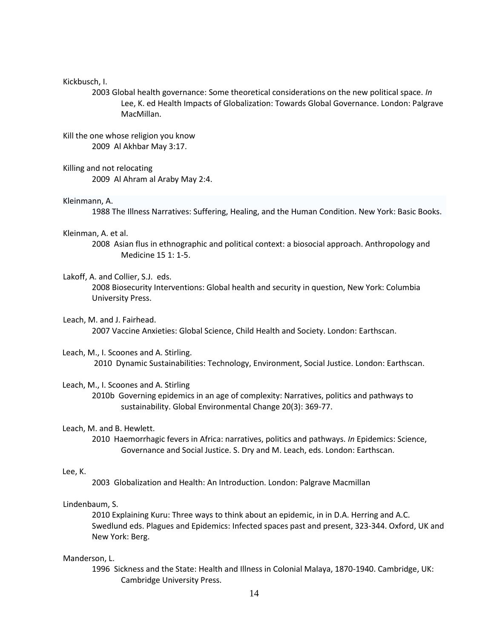#### Kickbusch, I.

2003 Global health governance: Some theoretical considerations on the new political space. *In* Lee, K. ed Health Impacts of Globalization: Towards Global Governance. London: Palgrave MacMillan.

# Kill the one whose religion you know

2009 Al Akhbar May 3:17.

## Killing and not relocating

2009 Al Ahram al Araby May 2:4.

## Kleinmann, A.

1988 The Illness Narratives: Suffering, Healing, and the Human Condition. New York: Basic Books.

## Kleinman, A. et al.

2008 Asian flus in ethnographic and political context: a biosocial approach. Anthropology and Medicine 15 1: 1-5.

## Lakoff, A. and Collier, S.J. eds.

2008 Biosecurity Interventions: Global health and security in question, New York: Columbia University Press.

### Leach, M. and J. Fairhead.

2007 Vaccine Anxieties: Global Science, Child Health and Society. London: Earthscan.

## Leach, M., I. Scoones and A. Stirling.

2010 Dynamic Sustainabilities: Technology, Environment, Social Justice. London: Earthscan.

## Leach, M., I. Scoones and A. Stirling

2010b Governing epidemics in an age of complexity: Narratives, politics and pathways to sustainability. Global Environmental Change 20(3): 369-77.

## Leach, M. and B. Hewlett.

2010 Haemorrhagic fevers in Africa: narratives, politics and pathways. *In* Epidemics: Science, Governance and Social Justice. S. Dry and M. Leach, eds. London: Earthscan.

## Lee, K.

2003 Globalization and Health: An Introduction. London: Palgrave Macmillan

## Lindenbaum, S.

2010 Explaining Kuru: Three ways to think about an epidemic, in in D.A. Herring and A.C. Swedlund eds. Plagues and Epidemics: Infected spaces past and present, 323-344. Oxford, UK and New York: Berg.

## Manderson, L.

1996Sickness and the State: Health and Illness in Colonial Malaya, 1870-1940. Cambridge, UK: Cambridge University Press.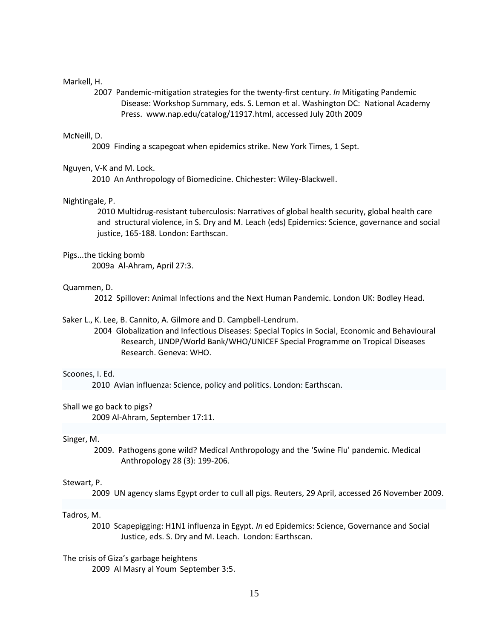#### Markell, H.

2007 Pandemic-mitigation strategies for the twenty-first century. *In* Mitigating Pandemic Disease: Workshop Summary, eds. S. Lemon et al. Washington DC: National Academy Press. [www.nap.edu/catalog/11917.html,](http://www.nap.edu/catalog/11917.html) accessed July 20th 2009

#### McNeill, D.

2009 Finding a scapegoat when epidemics strike. New York Times, 1 Sept.

#### Nguyen, V-K and M. Lock.

2010 An Anthropology of Biomedicine. Chichester: Wiley-Blackwell.

#### Nightingale, P.

2010 Multidrug-resistant tuberculosis: Narratives of global health security, global health care and structural violence, in S. Dry and M. Leach (eds) Epidemics: Science, governance and social justice, 165-188. London: Earthscan.

#### Pigs...the ticking bomb

2009a Al-Ahram, April 27:3.

## Quammen, D.

2012 Spillover: Animal Infections and the Next Human Pandemic. London UK: Bodley Head.

### Saker L., K. Lee, B. Cannito, A. Gilmore and D. Campbell-Lendrum.

2004 [Globalization and Infectious Diseases:](http://www.who.int/tdr/publications/publications/pdf/seb_topic3.pdf) Special Topics in Social, Economic and Behavioural Research, UNDP/World Bank/WHO/UNICEF Special Programme on Tropical Diseases Research. Geneva: WHO.

#### Scoones, I. Ed.

2010 Avian influenza: Science, policy and politics. London: Earthscan.

#### Shall we go back to pigs?

2009 Al-Ahram, September 17:11.

### Singer, M.

2009. Pathogens gone wild? Medical Anthropology and the 'Swine Flu' pandemic. Medical Anthropology 28 (3): 199-206.

#### Stewart, P.

2009 UN agency slams Egypt order to cull all pigs. Reuters, 29 April, accessed 26 November 2009.

## Tadros, M.

2010 Scapepigging: H1N1 influenza in Egypt. *In* ed Epidemics: Science, Governance and Social Justice, eds. S. Dry and M. Leach. London: Earthscan.

## The crisis of Giza's garbage heightens

2009 Al Masry al Youm September 3:5.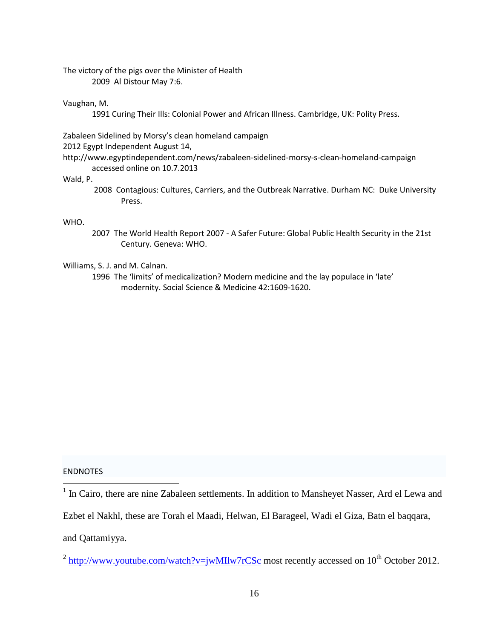The victory of the pigs over the Minister of Health 2009 Al Distour May 7:6.

## Vaughan, M.

1991 Curing Their Ills: Colonial Power and African Illness. Cambridge, UK: Polity Press.

Zabaleen Sidelined by Morsy's clean homeland campaign

2012 Egypt Independent August 14,

http://www.egyptindependent.com/news/zabaleen-sidelined-morsy-s-clean-homeland-campaign accessed online on 10.7.2013

#### Wald, P.

2008 Contagious: Cultures, Carriers, and the Outbreak Narrative. Durham NC: Duke University Press.

## WHO.

2007 The World Health Report 2007 - A Safer Future: Global Public Health Security in the 21st Century. Geneva: WHO.

## Williams, S. J. and M. Calnan.

1996 The 'limits' of medicalization? Modern medicine and the lay populace in 'late' modernity. Social Science & Medicine 42:1609-1620.

#### ENDNOTES

 $\overline{a}$ 

Ezbet el Nakhl, these are Torah el Maadi, Helwan, El Barageel, Wadi el Giza, Batn el baqqara,

and Qattamiyya.

 $2 \frac{\text{http://www.youtube.com/watch?v=jwMIw7rCSc}}{\text{http://www.youtube.com/watch?v=jwMIw7rCSc}}$  most recently accessed on 10<sup>th</sup> October 2012.

<sup>&</sup>lt;sup>1</sup> In Cairo, there are nine Zabaleen settlements. In addition to Mansheyet Nasser, Ard el Lewa and